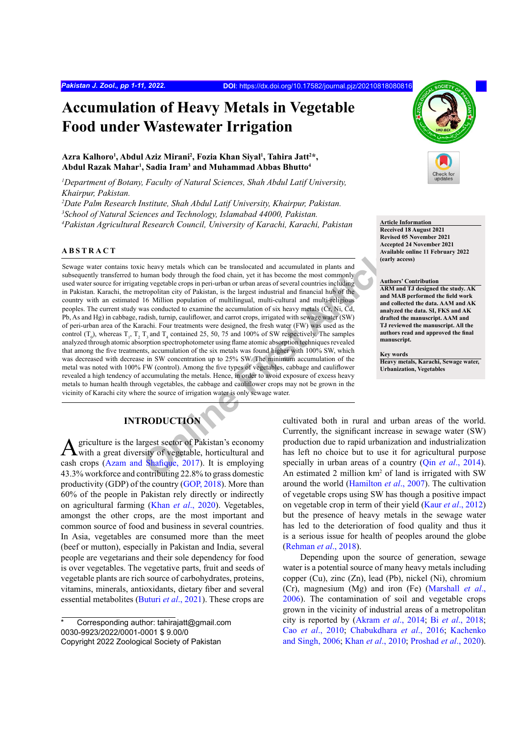# **Accumulation of Heavy Metals in Vegetable Food under Wastewater Irrigation**

## Azra Kalhoro<sup>1</sup>, Abdul Aziz Mirani<sup>2</sup>, Fozia Khan Siyal<sup>ı</sup>, Tahira Jatt<sup>2</sup>\*, **Abdul Razak Mahar1 , Sadia Iram3 and Muhammad Abbas Bhutto4**

*1 Department of Botany, Faculty of Natural Sciences, Shah Abdul Latif University, Khairpur, Pakistan.*

*2 Date Palm Research Institute, Shah Abdul Latif University, Khairpur, Pakistan.*

*3 School of Natural Sciences and Technology, Islamabad 44000, Pakistan.*

<sup>4</sup> Pakistan Agricultural Research Council, University of Karachi, Karachi, Pakistan<br>Passived 18 Avenued 19 Avenued 19 Avenued 19 Avenued 19 Avenued 19 Avenued 19 Avenued 19 Avenued 19 Avenued 19

#### **ABSTRACT**

Cheavy metals which can be translocated and accumulated in plants and<br>
human body through the food chain, yet it has become the most commonly<br>
mg vegetable crops in peri-urban or urban areas of several countries including<br> Sewage water contains toxic heavy metals which can be translocated and accumulated in plants and subsequently transferred to human body through the food chain, yet it has become the most commonly. used water source for irrigating vegetable crops in peri-urban or urban areas of several countries including in Pakistan. Karachi, the metropolitan city of Pakistan, is the largest industrial and financial hub of the country with an estimated 16 Million population of multilingual, multi-cultural and multi-religious peoples. The current study was conducted to examine the accumulation of six heavy metals (Cr, Ni, Cd, Pb, As and Hg) in cabbage, radish, turnip, cauliflower, and carrot crops, irrigated with sewage water (SW) of peri-urban area of the Karachi. Four treatments were designed, the fresh water (FW) was used as the control  $(T_0)$ , whereas  $T_1$ ,  $T_2$ ,  $T_3$  and  $T_4$  contained 25, 50, 75 and 100% of SW respectively. The samples analyzed through atomic absorption spectrophotometer using flame atomic absorption techniques revealed that among the five treatments, accumulation of the six metals was found higher with 100% SW, which was decreased with decrease in SW concentration up to 25% SW. The minimum accumulation of the metal was noted with 100% FW (control). Among the five types of vegetables, cabbage and cauliflower revealed a high tendency of accumulating the metals. Hence, in order to avoid exposure of excess heavy metals to human health through vegetables, the cabbage and cauliflower crops may not be grown in the vicinity of Karachi city where the source of irrigation water is only sewage water.

# **INTRODUCTION**

Agriculture is the largest sector of Pakistan's economy with a great diversity of vegetable, horticultural and cash crops (Azam and Shafique, 2017). It is employing 43.3% workforce and contributing 22.8% to grass domestic productivity (GDP) of the country (GOP, 2018). More than 60% of the people in Pakistan rely directly or indirectly on agricultural farming (Khan *et al*., 2020). Vegetables, amongst the other crops, are the most important and common source of food and business in several countries. In Asia, vegetables are consumed more than the meet (beef or mutton), especially in Pakistan and India, several people are vegetarians and their sole dependency for food is over vegetables. The vegetative parts, fruit and seeds of vegetable plants are rich source of carbohydrates, proteins, vitamins, minerals, antioxidants, dietary fiber and several essential metabolites (Buturi *et al*., 2021). These crops are



**Received 18 August 2021 Revised 05 November 2021 Accepted 24 November 2021 Available online 11 February 2022 (early access)**

## **Authors' Contribution**

**ARM and TJ designed the study. AK and MAB performed the field work and collected the data. AAM and AK analyzed the data. SI, FKS and AK drafted the manuscript. AAM and TJ reviewed the manuscript. All the authors read and approved the final manuscript.**

**Key words Heavy metals, Karachi, Sewage water, Urbanization, Vegetables**

cultivated both in rural and urban areas of the world. Currently, the significant increase in sewage water (SW) production due to rapid urbanization and industrialization has left no choice but to use it for agricultural purpose specially in urban areas of a country (Qin *et al*., 2014). An estimated 2 million km<sup>2</sup> of land is irrigated with SW around the world (Hamilton *et al*., 2007). The cultivation of vegetable crops using SW has though a positive impact on vegetable crop in term of their yield (Kaur *et al*., 2012) but the presence of heavy metals in the sewage water has led to the deterioration of food quality and thus it is a serious issue for health of peoples around the globe (Rehman *et al*., 2018).

Depending upon the source of generation, sewage water is a potential source of many heavy metals including copper (Cu), zinc (Zn), lead (Pb), nickel (Ni), chromium (Cr), magnesium (Mg) and iron (Fe) (Marshall *et al*., 2006). The contamination of soil and vegetable crops grown in the vicinity of industrial areas of a metropolitan city is reported by (Akram *et al*., 2014; Bi *et al*., 2018; Cao *et al*., 2010; Chabukdhara *et al*., 2016; Kachenko and Singh, 2006; Khan *et al*., 2010; Proshad *et al*., 2020).

Corresponding author: tahirajatt@gmail.com 0030-9923/2022/0001-0001 \$ 9.00/0 Copyright 2022 Zoological Society of Pakistan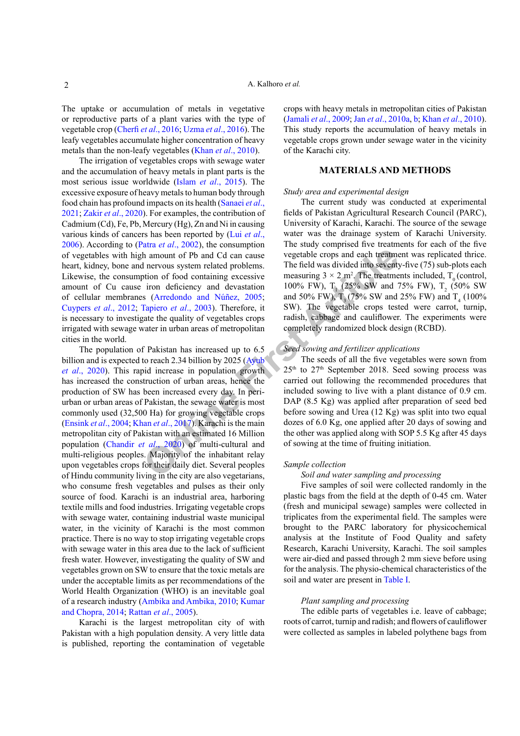The uptake or accumulation of metals in vegetative or reproductive parts of a plant varies with the type of vegetable crop (Cherfi *et al*., 2016; Uzma *et al*., 2016). The leafy vegetables accumulate higher concentration of heavy metals than the non-leafy vegetables (Khan *et al*., 2010).

The irrigation of vegetables crops with sewage water and the accumulation of heavy metals in plant parts is the most serious issue worldwide (Islam *et al*., 2015). The excessive exposure of heavy metals to human body through food chain has profound impacts on its health (Sanaei *et al*., 2021; Zakir *et al*., 2020). For examples, the contribution of Cadmium (Cd), Fe, Pb, Mercury (Hg), Zn and Ni in causing various kinds of cancers has been reported by (Lui *et al*., 2006). According to (Patra *et al*., 2002), the consumption of vegetables with high amount of Pb and Cd can cause heart, kidney, bone and nervous system related problems. Likewise, the consumption of food containing excessive amount of Cu cause iron deficiency and devastation of cellular membranes (Arredondo and Núñez, 2005; Cuypers *et al*., 2012; Tapiero *et al*., 2003). Therefore, it is necessary to investigate the quality of vegetables crops irrigated with sewage water in urban areas of metropolitan cities in the world.

**Online First Article** The population of Pakistan has increased up to 6.5 billion and is expected to reach 2.34 billion by 2025 (Ayub) *et al*., 2020). This rapid increase in population growth has increased the construction of urban areas, hence the production of SW has been increased every day. In periurban or urban areas of Pakistan, the sewage water is most commonly used (32,500 Ha) for growing vegetable crops (Ensink *et al*., 2004; Khan *et al*., 2017). Karachi is the main metropolitan city of Pakistan with an estimated 16 Million population (Chandir *et al*., 2020) of multi-cultural and multi-religious peoples. Majority of the inhabitant relay upon vegetables crops for their daily diet. Several peoples of Hindu community living in the city are also vegetarians, who consume fresh vegetables and pulses as their only source of food. Karachi is an industrial area, harboring textile mills and food industries. Irrigating vegetable crops with sewage water, containing industrial waste municipal water, in the vicinity of Karachi is the most common practice. There is no way to stop irrigating vegetable crops with sewage water in this area due to the lack of sufficient fresh water. However, investigating the quality of SW and vegetables grown on SW to ensure that the toxic metals are under the acceptable limits as per recommendations of the World Health Organization (WHO) is an inevitable goal of a research industry (Ambika and Ambika, 2010; Kumar and Chopra, 2014; Rattan *et al*., 2005).

Karachi is the largest metropolitan city of with Pakistan with a high population density. A very little data is published, reporting the contamination of vegetable crops with heavy metals in metropolitan cities of Pakistan (Jamali *et al*., 2009; Jan *et al*., 2010a, b; Khan *et al*., 2010). This study reports the accumulation of heavy metals in vegetable crops grown under sewage water in the vicinity of the Karachi city.

## **MATERIALS AND METHODS**

#### *Study area and experimental design*

The current study was conducted at experimental fields of Pakistan Agricultural Research Council (PARC), University of Karachi, Karachi. The source of the sewage water was the drainage system of Karachi University. The study comprised five treatments for each of the five vegetable crops and each treatment was replicated thrice. The field was divided into seventy-five (75) sub-plots each measuring  $3 \times 2$  m<sup>2</sup>. The treatments included, T<sub>0</sub> (control, 100% FW),  $T_1$  (25% SW and 75% FW),  $T_2$  (50% SW) and 50% FW),  $T_3$  (75% SW and 25% FW) and  $T_4$  (100%) SW). The vegetable crops tested were carrot, turnip, radish, cabbage and cauliflower. The experiments were completely randomized block design (RCBD).

## *Seed sowing and fertilizer applications*

The seeds of all the five vegetables were sown from 25th to 27th September 2018. Seed sowing process was carried out following the recommended procedures that included sowing to live with a plant distance of 0.9 cm. DAP (8.5 Kg) was applied after preparation of seed bed before sowing and Urea (12 Kg) was split into two equal dozes of 6.0 Kg, one applied after 20 days of sowing and the other was applied along with SOP 5.5 Kg after 45 days of sowing at the time of fruiting initiation.

#### *Sample collection*

#### *Soil and water sampling and processing*

Five samples of soil were collected randomly in the plastic bags from the field at the depth of 0-45 cm. Water (fresh and municipal sewage) samples were collected in triplicates from the experimental field. The samples were brought to the PARC laboratory for physicochemical analysis at the Institute of Food Quality and safety Research, Karachi University, Karachi. The soil samples were air-died and passed through 2 mm sieve before using for the analysis. The physio-chemical characteristics of the soil and water are present in Table I.

#### *Plant sampling and processing*

The edible parts of vegetables i.e. leave of cabbage; roots of carrot, turnip and radish; and flowers of cauliflower were collected as samples in labeled polythene bags from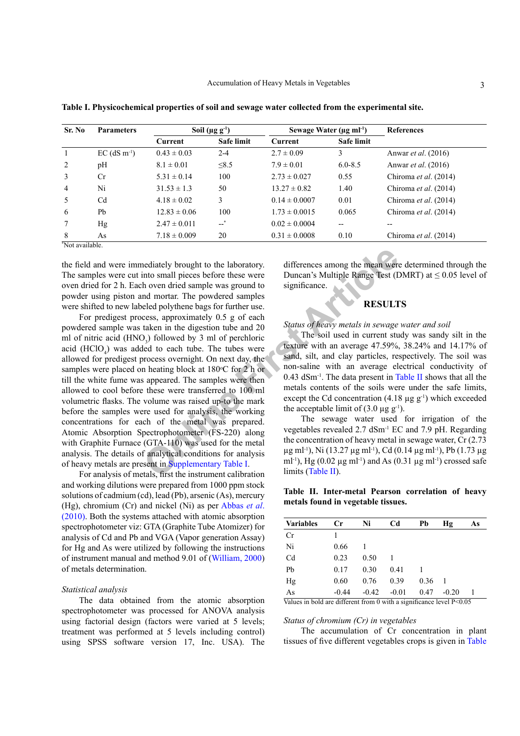| <b>Parameters</b>          | Soil $(\mu g g^{-1})$ |                   | Sewage Water ( $\mu$ g ml <sup>-1</sup> ) |             | <b>References</b>              |  |
|----------------------------|-----------------------|-------------------|-------------------------------------------|-------------|--------------------------------|--|
|                            | Current               | <b>Safe limit</b> | Current                                   | Safe limit  |                                |  |
| $EC$ (dS m <sup>-1</sup> ) | $0.43 \pm 0.03$       | $2 - 4$           | $2.7 \pm 0.09$                            | 3           | Anwar <i>et al.</i> (2016)     |  |
| pH                         | $8.1 \pm 0.01$        | $\leq 8.5$        | $7.9 \pm 0.01$                            | $6.0 - 8.5$ | Anwar <i>et al.</i> (2016)     |  |
| Cr                         | $5.31 \pm 0.14$       | 100               | $2.73 \pm 0.027$                          | 0.55        | Chiroma <i>et al.</i> (2014)   |  |
| Ni                         | $31.53 \pm 1.3$       | 50                | $13.27 \pm 0.82$                          | 1.40        | Chiroma <i>et al.</i> $(2014)$ |  |
| C <sub>d</sub>             | $4.18 \pm 0.02$       | 3                 | $0.14 \pm 0.0007$                         | 0.01        | Chiroma <i>et al.</i> $(2014)$ |  |
| Pb                         | $12.83 \pm 0.06$      | 100               | $1.73 \pm 0.0015$                         | 0.065       | Chiroma <i>et al.</i> $(2014)$ |  |
| Hg                         | $2.47 \pm 0.011$      | $-$ *             | $0.02 \pm 0.0004$                         | --          |                                |  |
| As                         | $7.18 \pm 0.009$      | 20                | $0.31 \pm 0.0008$                         | 0.10        | Chiroma <i>et al.</i> (2014)   |  |
|                            | *Not available.       |                   |                                           |             |                                |  |

**Table I. Physicochemical properties of soil and sewage water collected from the experimental site.**

the field and were immediately brought to the laboratory. The samples were cut into small pieces before these were oven dried for 2 h. Each oven dried sample was ground to powder using piston and mortar. The powdered samples were shifted to new labeled polythene bags for further use.

rediately brought to the laboratory.<br>
into small pieces before these were<br>
h oven dried sample was ground to<br>
ind mortar. The powdered samples<br>
eled polythene bags for further use.<br>
eled polythene bags for further use.<br> For predigest process, approximately 0.5 g of each powdered sample was taken in the digestion tube and 20 ml of nitric acid  $(HNO<sub>3</sub>)$  followed by 3 ml of perchloric acid  $(HClO<sub>4</sub>)$  was added to each tube. The tubes were allowed for predigest process overnight. On next day, the samples were placed on heating block at 180°C for 2 h or till the white fume was appeared. The samples were then allowed to cool before these were transferred to 100 ml volumetric flasks. The volume was raised up-to the mark before the samples were used for analysis, the working concentrations for each of the metal was prepared. Atomic Absorption Spectrophotometer (FS-220) along with Graphite Furnace (GTA-110) was used for the metal analysis. The details of analytical conditions for analysis of heavy metals are present in Supplementary Table I.

For analysis of metals, first the instrument calibration and working dilutions were prepared from 1000 ppm stock solutions of cadmium (cd), lead (Pb), arsenic (As), mercury (Hg), chromium (Cr) and nickel (Ni) as per Abbas *et al*. (2010). Both the systems attached with atomic absorption spectrophotometer viz: GTA (Graphite Tube Atomizer) for analysis of Cd and Pb and VGA (Vapor generation Assay) for Hg and As were utilized by following the instructions of instrument manual and method 9.01 of (William, 2000) of metals determination.

#### *Statistical analysis*

The data obtained from the atomic absorption spectrophotometer was processed for ANOVA analysis using factorial design (factors were varied at 5 levels; treatment was performed at 5 levels including control) using SPSS software version 17, Inc. USA). The differences among the mean were determined through the Duncan's Multiple Range Test (DMRT) at  $\leq 0.05$  level of significance.

## **RESULTS**

*Status of heavy metals in sewage water and soil* 

The soil used in current study was sandy silt in the texture with an average 47.59%, 38.24% and 14.17% of sand, silt, and clay particles, respectively. The soil was non-saline with an average electrical conductivity of 0.43 dSm-1. The data present in Table II shows that all the metals contents of the soils were under the safe limits, except the Cd concentration  $(4.18 \text{ µg g}^{-1})$  which exceeded the acceptable limit of  $(3.0 \mu g g^{-1})$ .

The sewage water used for irrigation of the vegetables revealed 2.7 dSm-1 EC and 7.9 pH. Regarding the concentration of heavy metal in sewage water, Cr (2.73  $\mu$ g ml<sup>-1</sup>), Ni (13.27  $\mu$ g ml<sup>-1</sup>), Cd (0.14  $\mu$ g ml<sup>-1</sup>), Pb (1.73  $\mu$ g ml<sup>-1</sup>), Hg (0.02  $\mu$ g ml<sup>-1</sup>) and As (0.31  $\mu$ g ml<sup>-1</sup>) crossed safe limits (Table II).

**Table II. Inter-metal Pearson correlation of heavy metals found in vegetable tissues.**

| Cr      | Ni      | Cd      | Pb   | Hφ      | As |
|---------|---------|---------|------|---------|----|
|         |         |         |      |         |    |
| 0.66    |         |         |      |         |    |
| 0.23    | 0.50    |         |      |         |    |
| 0.17    | 0.30    | 0.41    |      |         |    |
| 0.60    | 0.76    | 0.39    | 0.36 |         |    |
| $-0.44$ | $-0.42$ | $-0.01$ | 0.47 | $-0.20$ |    |
|         |         |         |      |         |    |

Values in bold are different from 0 with a significance level P<0.05

#### *Status of chromium (Cr) in vegetables*

The accumulation of Cr concentration in plant tissues of five different vegetables crops is given in Table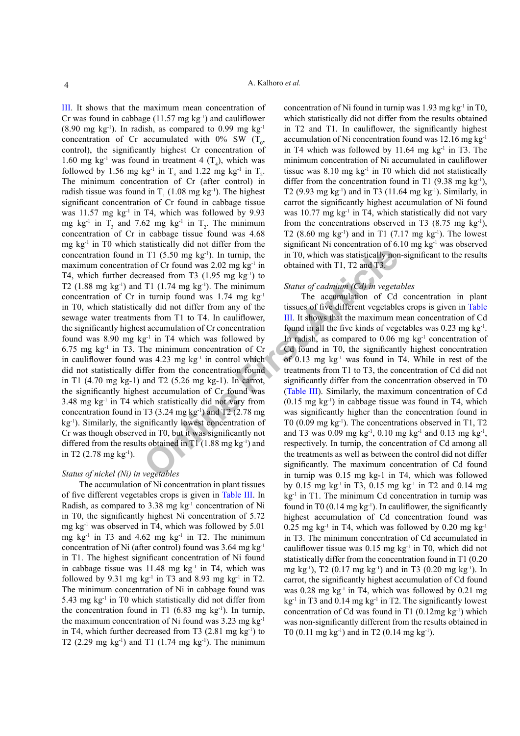1 T1 (5.50 mg kg<sup>-1</sup>). In turnip, the<br>
in T0, which was statistically not<br>
obtained with T1, T2 and T3.<br>
T1 (1.74 mg kg<sup>-1</sup>). The minimum<br>
1 T1 (1.74 mg kg<sup>-1</sup>) to<br>
T1 (1.74 mg kg<sup>-1</sup>). The minimum<br>
turnip found was 1.74 III. It shows that the maximum mean concentration of Cr was found in cabbage  $(11.57 \text{ mg kg}^{-1})$  and cauliflower (8.90 mg kg<sup>-1</sup>). In radish, as compared to 0.99 mg kg<sup>-1</sup> concentration of Cr accumulated with  $0\%$  SW  $(T_0,$ control), the significantly highest Cr concentration of 1.60 mg kg<sup>-1</sup> was found in treatment 4  $(T_4)$ , which was followed by 1.56 mg kg<sup>-1</sup> in  $T_3$  and 1.22 mg kg<sup>-1</sup> in  $T_2$ . The minimum concentration of Cr (after control) in radish tissue was found in  $T_1$  (1.08 mg kg<sup>-1</sup>). The highest significant concentration of Cr found in cabbage tissue was  $11.57 \text{ mg}$  kg<sup>-1</sup> in T4, which was followed by 9.93 mg kg<sup>-1</sup> in  $T_3$  and 7.62 mg kg<sup>-1</sup> in  $T_2$ . The minimum concentration of Cr in cabbage tissue found was 4.68 mg kg-1 in T0 which statistically did not differ from the concentration found in T1  $(5.50 \text{ mg kg}^{-1})$ . In turnip, the maximum concentration of Cr found was  $2.02$  mg kg<sup>-1</sup> in T4, which further decreased from T3  $(1.95 \text{ mg kg}^{-1})$  to T2 (1.88 mg kg<sup>-1</sup>) and T1 (1.74 mg kg<sup>-1</sup>). The minimum concentration of Cr in turnip found was  $1.74$  mg kg<sup>-1</sup> in T0, which statistically did not differ from any of the sewage water treatments from T1 to T4. In cauliflower, the significantly highest accumulation of Cr concentration found was 8.90 mg  $kg^{-1}$  in T4 which was followed by 6.75 mg  $kg<sup>-1</sup>$  in T3. The minimum concentration of Cr in cauliflower found was  $4.23 \text{ mg kg}^{-1}$  in control which did not statistically differ from the concentration found in T1 (4.70 mg kg-1) and T2 (5.26 mg kg-1). In carrot, the significantly highest accumulation of Cr found was 3.48 mg kg-1 in T4 which statistically did not vary from concentration found in T3  $(3.24 \text{ mg kg}^{-1})$  and T2  $(2.78 \text{ mg})$ kg-1). Similarly, the significantly lowest concentration of Cr was though observed in T0, but it was significantly not differed from the results obtained in  $T1$  (1.88 mg kg<sup>-1</sup>) and in T2 (2.78 mg  $kg^{-1}$ ).

## *Status of nickel (Ni) in vegetables*

The accumulation of Ni concentration in plant tissues of five different vegetables crops is given in Table III. In Radish, as compared to  $3.38 \text{ mg}$  kg<sup>-1</sup> concentration of Ni in T0, the significantly highest Ni concentration of 5.72 mg kg-1 was observed in T4, which was followed by 5.01 mg  $kg<sup>-1</sup>$  in T3 and 4.62 mg  $kg<sup>-1</sup>$  in T2. The minimum concentration of Ni (after control) found was 3.64 mg kg-1 in T1. The highest significant concentration of Ni found in cabbage tissue was 11.48 mg kg<sup>-1</sup> in T4, which was followed by 9.31 mg kg<sup>-1</sup> in T3 and 8.93 mg kg<sup>-1</sup> in T2. The minimum concentration of Ni in cabbage found was 5.43 mg kg-1 in T0 which statistically did not differ from the concentration found in T1  $(6.83 \text{ mg kg}^{-1})$ . In turnip, the maximum concentration of Ni found was 3.23 mg kg-1 in T4, which further decreased from T3  $(2.81 \text{ mg kg}^{-1})$  to T2 (2.29 mg kg<sup>-1</sup>) and T1 (1.74 mg kg<sup>-1</sup>). The minimum

concentration of Ni found in turnip was  $1.93 \text{ mg kg}^{-1}$  in T0, which statistically did not differ from the results obtained in T2 and T1. In cauliflower, the significantly highest accumulation of Ni concentration found was 12.16 mg kg-1 in T4 which was followed by  $11.64$  mg kg<sup>-1</sup> in T3. The minimum concentration of Ni accumulated in cauliflower tissue was  $8.10 \text{ mg}$  kg<sup>-1</sup> in T0 which did not statistically differ from the concentration found in T1  $(9.38 \text{ mg kg}^{-1})$ , T2 (9.93 mg kg<sup>-1</sup>) and in T3 (11.64 mg kg<sup>-1</sup>). Similarly, in carrot the significantly highest accumulation of Ni found was  $10.77$  mg kg<sup>-1</sup> in T4, which statistically did not vary from the concentrations observed in T3  $(8.75 \text{ mg kg}^{-1})$ , T2 (8.60 mg  $kg^{-1}$ ) and in T1 (7.17 mg  $kg^{-1}$ ). The lowest significant Ni concentration of  $6.10$  mg kg<sup>-1</sup> was observed in T0, which was statistically non-significant to the results obtained with T1, T2 and T3.

## *Status of cadmium (Cd) in vegetables*

The accumulation of Cd concentration in plant tissues of five different vegetables crops is given in Table III. It shows that the maximum mean concentration of Cd found in all the five kinds of vegetables was 0.23 mg kg-1. In radish, as compared to  $0.06$  mg  $kg<sup>-1</sup>$  concentration of Cd found in T0, the significantly highest concentration of 0.13 mg  $kg^{-1}$  was found in T4. While in rest of the treatments from T1 to T3, the concentration of Cd did not significantly differ from the concentration observed in T0 (Table III). Similarly, the maximum concentration of Cd  $(0.15 \text{ mg kg}^{-1})$  in cabbage tissue was found in T4, which was significantly higher than the concentration found in T0 (0.09 mg kg<sup>-1</sup>). The concentrations observed in T1, T2 and T3 was 0.09 mg kg<sup>-1</sup>, 0.10 mg kg<sup>-1</sup> and 0.13 mg kg<sup>-1</sup>, respectively. In turnip, the concentration of Cd among all the treatments as well as between the control did not differ significantly. The maximum concentration of Cd found in turnip was 0.15 mg kg-1 in T4, which was followed by 0.15 mg kg<sup>-1</sup> in T3, 0.15 mg kg<sup>-1</sup> in T2 and 0.14 mg  $kg<sup>-1</sup>$  in T1. The minimum Cd concentration in turnip was found in T0 (0.14 mg  $kg^{-1}$ ). In cauliflower, the significantly highest accumulation of Cd concentration found was 0.25 mg kg<sup>-1</sup> in T4, which was followed by 0.20 mg kg<sup>-1</sup> in T3. The minimum concentration of Cd accumulated in cauliflower tissue was  $0.15$  mg kg<sup>-1</sup> in T0, which did not statistically differ from the concentration found in T1 (0.20 mg kg<sup>-1</sup>), T2 (0.17 mg kg<sup>-1</sup>) and in T3 (0.20 mg kg<sup>-1</sup>). In carrot, the significantly highest accumulation of Cd found was  $0.28$  mg kg<sup>-1</sup> in T4, which was followed by  $0.21$  mg  $kg<sup>-1</sup>$  in T3 and 0.14 mg kg<sup>-1</sup> in T2. The significantly lowest concentration of Cd was found in T1  $(0.12mg \text{ kg}^{-1})$  which was non-significantly different from the results obtained in T0 (0.11 mg kg<sup>-1</sup>) and in T2 (0.14 mg kg<sup>-1</sup>).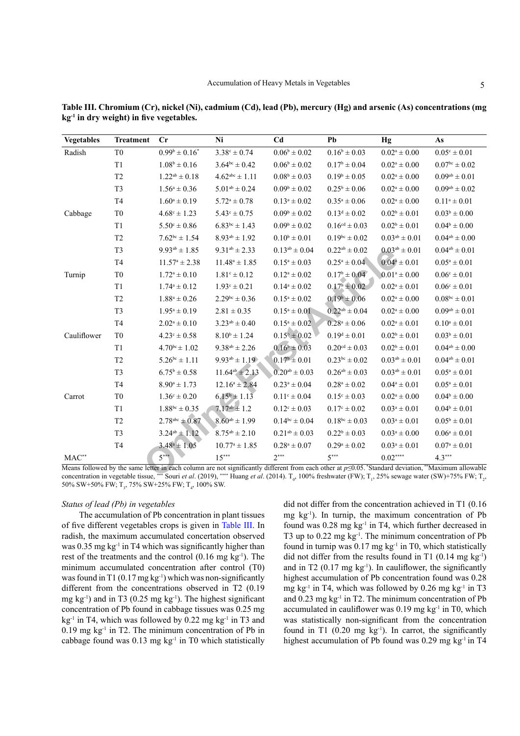| <b>Vegetables</b>                                                                                                                                                                                                                                                                                           | <b>Treatment</b> | Cr                      | Ni                      | C <sub>d</sub>          | Pb                        | Hg                         | As                        |  |
|-------------------------------------------------------------------------------------------------------------------------------------------------------------------------------------------------------------------------------------------------------------------------------------------------------------|------------------|-------------------------|-------------------------|-------------------------|---------------------------|----------------------------|---------------------------|--|
| Radish                                                                                                                                                                                                                                                                                                      | T <sub>0</sub>   | $0.99^b \pm 0.16^*$     | $3.38^{\circ} \pm 0.74$ | $0.06^b \pm 0.02$       | $0.16^b \pm 0.03$         | $0.02^a \pm 0.00$          | $0.05^{\circ} \pm 0.01$   |  |
|                                                                                                                                                                                                                                                                                                             | T1               | $1.08^b \pm 0.16$       | $3.64^{bc} \pm 0.42$    | $0.06^b \pm 0.02$       | $0.17^b \pm 0.04$         | $0.02^a \pm 0.00$          | $0.07^{bc} \pm 0.02$      |  |
|                                                                                                                                                                                                                                                                                                             | T <sub>2</sub>   | $1.22^{ab} \pm 0.18$    | $4.62^{abc} \pm 1.11$   | $0.08^{\rm b}\pm0.03$   | $0.19^b \pm 0.05$         | $0.02^{\mathrm{a}}\pm0.00$ | $0.09^{ab} \pm 0.01$      |  |
|                                                                                                                                                                                                                                                                                                             | T <sub>3</sub>   | $1.56^a \pm 0.36$       | $5.01^{ab} \pm 0.24$    | $0.09^b \pm 0.02$       | $0.25^b \pm 0.06$         | $0.02^a \pm 0.00$          | $0.09^{ab} \pm 0.02$      |  |
|                                                                                                                                                                                                                                                                                                             | T <sub>4</sub>   | $1.60^a \pm 0.19$       | $5.72^a \pm 0.78$       | $0.13^{\rm a}\pm0.02$   | $0.35^a \pm 0.06$         | $0.02^a \pm 0.00$          | $0.11^a \pm 0.01$         |  |
| Cabbage                                                                                                                                                                                                                                                                                                     | T <sub>0</sub>   | $4.68^{\circ} \pm 1.23$ | $5.43^{\circ} \pm 0.75$ | $0.09^b \pm 0.02$       | $0.13^d \pm 0.02$         | $0.02^b \pm 0.01$          | $0.03^b \pm 0.00$         |  |
|                                                                                                                                                                                                                                                                                                             | T <sub>1</sub>   | $5.50^{\circ} \pm 0.86$ | $6.83^{bc} \pm 1.43$    | $0.09^b \pm 0.02$       | $0.16^{cd} \pm 0.03$      | $0.02^b \pm 0.01$          | $0.04^b \pm 0.00$         |  |
|                                                                                                                                                                                                                                                                                                             | T <sub>2</sub>   | $7.62^{bc} \pm 1.54$    | $8.93^{ab} \pm 1.92$    | $0.10^b \pm 0.01$       | $0.19^{bc} \pm 0.02$      | $0.03^{ab} \pm 0.01$       | $0.04^{ab} \pm 0.00$      |  |
|                                                                                                                                                                                                                                                                                                             | T <sub>3</sub>   | $9.93^{ab} \pm 1.85$    | $9.31^{ab} \pm 2.33$    | $0.13^{ab} \pm 0.04$    | $0.22^{ab} \pm 0.02$      | $0.03^{ab} \pm 0.01$       | $0.04^{ab} \pm 0.01$      |  |
|                                                                                                                                                                                                                                                                                                             | T <sub>4</sub>   | $11.57^a \pm 2.38$      | $11.48^a \pm 1.85$      | $0.15^a \pm 0.03$       | $0.25^a \pm 0.04$         | $0.04^a \pm 0.01$          | $0.05^a \pm 0.01$         |  |
| Turnip                                                                                                                                                                                                                                                                                                      | T <sub>0</sub>   | $1.72^a \pm 0.10$       | $1.81^{\circ} \pm 0.12$ | $0.12^a \pm 0.02$       | $0.17^{\rm b} \pm 0.04$   | $0.01^a \pm 0.00$          | $0.06^{\circ} \pm 0.01$   |  |
|                                                                                                                                                                                                                                                                                                             | T <sub>1</sub>   | $1.74^a \pm 0.12$       | $1.93^{\circ} \pm 0.21$ | $0.14^a \pm 0.02$       | $0.17^b \pm 0.02$         | $0.02^a \pm 0.01$          | $0.06^{\circ} \pm 0.01$   |  |
|                                                                                                                                                                                                                                                                                                             | T <sub>2</sub>   | $1.88^a \pm 0.26$       | $2.29^{bc} \pm 0.36$    | $0.15^a \pm 0.02$       | $0.19^b \pm 0.06$         | $0.02^a \pm 0.00$          | $0.08^{bc} \pm 0.01$      |  |
|                                                                                                                                                                                                                                                                                                             | T <sub>3</sub>   | $1.95^a \pm 0.19$       | $2.81 \pm 0.35$         | $0.15^a \pm 0.01$       | $0.22^{ab} \pm 0.04$      | $0.02^a \pm 0.00$          | $0.09^{ab} \pm 0.01$      |  |
|                                                                                                                                                                                                                                                                                                             | T <sub>4</sub>   | $2.02^a \pm 0.10$       | $3.23^{ab} \pm 0.40$    | $0.15^a \pm 0.02$       | $0.28^a \pm 0.06$         | $0.02^a \pm 0.01$          | $0.10^a \pm 0.01$         |  |
| Cauliflower                                                                                                                                                                                                                                                                                                 | T <sub>0</sub>   | $4.23^{\circ} \pm 0.58$ | $8.10^b \pm 1.24$       | $0.15^b \pm 0.02$       | $0.19^d \pm 0.01$         | $0.02^b \pm 0.01$          | $0.03^b \pm 0.01$         |  |
|                                                                                                                                                                                                                                                                                                             | T1               | $4.70^{bc} \pm 1.02$    | $9.38^{ab} \pm 2.26$    | $0.16^b \pm 0.03$       | $0.20^{cd} \pm 0.03$      | $0.02^b \pm 0.01$          | $0.04^{\text{ab}}\pm0.00$ |  |
|                                                                                                                                                                                                                                                                                                             | T <sub>2</sub>   | $5.26^{bc} \pm 1.11$    | $9.93^{ab} \pm 1.19$    | $0.17^b \pm 0.01$       | $0.23^{bc} \pm 0.02$      | $0.03^{ab} \pm 0.01$       | $0.04^{\text{ab}}\pm0.01$ |  |
|                                                                                                                                                                                                                                                                                                             | T <sub>3</sub>   | $6.75^b \pm 0.58$       | $11.64^{ab} \pm 2.13$   | $0.20^{ab} \pm 0.03$    | $0.26^{\text{ab}}\pm0.03$ | $0.03^{ab} \pm 0.01$       | $0.05^a \pm 0.01$         |  |
|                                                                                                                                                                                                                                                                                                             | T <sub>4</sub>   | $8.90^a \pm 1.73$       | $12.16^a \pm 2.84$      | $0.23^a \pm 0.04$       | $0.28^a \pm 0.02$         | $0.04^a \pm 0.01$          | $0.05^a \pm 0.01$         |  |
| Carrot                                                                                                                                                                                                                                                                                                      | T <sub>0</sub>   | $1.36^{\circ} \pm 0.20$ | $6.15^{\circ} \pm 1.13$ | $0.11^{\circ} \pm 0.04$ | $0.15^{\circ} \pm 0.03$   | $0.02^a \pm 0.00$          | $0.04^b \pm 0.00$         |  |
|                                                                                                                                                                                                                                                                                                             | T1               | $1.88^{bc} \pm 0.35$    | $7.17^{ab} \pm 1.2$     | $0.12^{\circ} \pm 0.03$ | $0.17^{\circ} \pm 0.02$   | $0.03^a \pm 0.01$          | $0.04^b \pm 0.01$         |  |
|                                                                                                                                                                                                                                                                                                             | T <sub>2</sub>   | $2.78^{abc} \pm 0.87$   | $8.60^{ab} \pm 1.99$    | $0.14^{bc} \pm 0.04$    | $0.18^{bc} \pm 0.03$      | $0.03^a \pm 0.01$          | $0.05^{\rm b}\pm0.01$     |  |
|                                                                                                                                                                                                                                                                                                             | T <sub>3</sub>   | $3.24^{ab} \pm 1.12$    | $8.75^{ab} \pm 2.10$    | $0.21^{ab} \pm 0.03$    | $0.22^b \pm 0.03$         | $0.03^a \pm 0.00$          | $0.06^a \pm 0.01$         |  |
|                                                                                                                                                                                                                                                                                                             | T <sub>4</sub>   | $3.48^a \pm 1.05$       | $10.77^a \pm 1.85$      | $0.28^a \pm 0.07$       | $0.29^a \pm 0.02$         | $0.03^a \pm 0.01$          | $0.07^a \pm 0.01$         |  |
| $MAC^{**}$                                                                                                                                                                                                                                                                                                  |                  | $5***$                  | $15***$                 | $2***$                  | $5***$                    | $0.02***$                  | $4.3***$                  |  |
| Means followed by the same letter in each column are not significantly different from each other at $p \le 0.05$ . *Standard deviation, **Maximum allowable<br>concentration in vegetable tissue *** Souri et al. (2019) **** Huang et al. (2014) T 100% freshwater (FW): T 25% sewage water (SW)+75% FW: T |                  |                         |                         |                         |                           |                            |                           |  |

**Table III. Chromium (Cr), nickel (Ni), cadmium (Cd), lead (Pb), mercury (Hg) and arsenic (As) concentrations (mg kg-1 in dry weight) in five vegetables.**

Means followed by the same letter in each column are not significantly different from each other at *p*≤0.05. \*Standard deviation, \*\*Maximum allowable concentration in vegetable tissue, \*\*\* Souri *et al.* (2019), \*\*\*\* Huang *et al.* (2014). T<sub>0</sub> , 100% freshwater (FW);  $T_1$ , 25% sewage water (SW)+75% FW;  $T_2$ , 50% SW+50% FW; T<sub>3</sub>, 75% SW+25% FW; T<sub>4</sub>, 100% SW.

#### *Status of lead (Pb) in vegetables*

The accumulation of Pb concentration in plant tissues of five different vegetables crops is given in Table III. In radish, the maximum accumulated concertation observed was  $0.35$  mg kg<sup>-1</sup> in T4 which was significantly higher than rest of the treatments and the control  $(0.16 \text{ mg kg}^{-1})$ . The minimum accumulated concentration after control (T0) was found in T1  $(0.17 \text{ mg kg}^{-1})$  which was non-significantly different from the concentrations observed in T2 (0.19 mg kg<sup>-1</sup>) and in T3 (0.25 mg kg<sup>-1</sup>). The highest significant concentration of Pb found in cabbage tissues was 0.25 mg  $kg<sup>-1</sup>$  in T4, which was followed by 0.22 mg kg<sup>-1</sup> in T3 and  $0.19$  mg kg<sup>-1</sup> in T2. The minimum concentration of Pb in cabbage found was  $0.13 \text{ mg kg}^{-1}$  in T0 which statistically

did not differ from the concentration achieved in T1 (0.16 mg  $kg^{-1}$ ). In turnip, the maximum concentration of Pb found was 0.28 mg kg-1 in T4, which further decreased in T3 up to  $0.22$  mg kg<sup>-1</sup>. The minimum concentration of Pb found in turnip was  $0.17$  mg kg<sup>-1</sup> in T0, which statistically did not differ from the results found in T1  $(0.14 \text{ mg kg}^{-1})$ and in T2  $(0.17 \text{ mg kg}^{-1})$ . In cauliflower, the significantly highest accumulation of Pb concentration found was 0.28 mg kg<sup>-1</sup> in T4, which was followed by 0.26 mg kg<sup>-1</sup> in T3 and  $0.23$  mg kg<sup>-1</sup> in T<sub>2</sub>. The minimum concentration of Pb accumulated in cauliflower was  $0.19$  mg kg<sup>-1</sup> in T0, which was statistically non-significant from the concentration found in T1  $(0.20 \text{ mg kg}^{-1})$ . In carrot, the significantly highest accumulation of Pb found was  $0.29$  mg kg<sup>-1</sup> in T4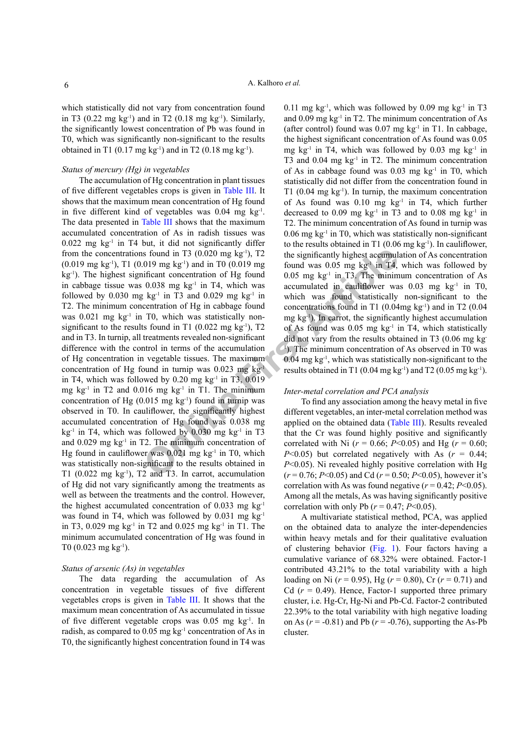which statistically did not vary from concentration found in T3 (0.22 mg kg<sup>-1</sup>) and in T2 (0.18 mg kg<sup>-1</sup>). Similarly, the significantly lowest concentration of Pb was found in T0, which was significantly non-significant to the results obtained in T1  $(0.17 \text{ mg kg}^{-1})$  and in T2  $(0.18 \text{ mg kg}^{-1})$ .

### *Status of mercury (Hg) in vegetables*

is found in T3 (0.020 mg kg<sup>-1</sup>), T2<br>
(0.020 mg kg<sup>-1</sup>), T2<br>
(0.019 mg found was 0.05 mg kg<sup>-1</sup> in T4,<br>
(0.038 mg kg<sup>-1</sup> in T4, which was coumulated in earlificent<br>
(0.038 mg kg<sup>-1</sup> in T4, which was accumulated in earlifi The accumulation of Hg concentration in plant tissues of five different vegetables crops is given in Table III. It shows that the maximum mean concentration of Hg found in five different kind of vegetables was  $0.04$  mg kg<sup>-1</sup>. The data presented in Table III shows that the maximum accumulated concentration of As in radish tissues was  $0.022$  mg kg<sup>-1</sup> in T4 but, it did not significantly differ from the concentrations found in T3  $(0.020 \text{ mg kg}^{-1})$ , T2  $(0.019 \text{ mg kg}^{-1})$ , T1  $(0.019 \text{ mg kg}^{-1})$  and in T0  $(0.019 \text{ mg})$ kg-1). The highest significant concentration of Hg found in cabbage tissue was 0.038 mg kg-1 in T4, which was followed by  $0.030$  mg kg<sup>-1</sup> in T3 and  $0.029$  mg kg<sup>-1</sup> in T2. The minimum concentration of Hg in cabbage found was 0.021 mg kg<sup>-1</sup> in T0, which was statistically nonsignificant to the results found in T1 (0.022 mg kg<sup>-1</sup>), T2 and in T3. In turnip, all treatments revealed non-significant difference with the control in terms of the accumulation of Hg concentration in vegetable tissues. The maximum concentration of Hg found in turnip was  $0.023 \text{ mg kg}^{-1}$ in T4, which was followed by  $0.20 \text{ mg kg}^{-1}$  in T3,  $0.019$ mg kg<sup>-1</sup> in T2 and  $0.016$  mg kg<sup>-1</sup> in T1. The minimum concentration of Hg  $(0.015 \text{ mg kg}^{-1})$  found in turnip was observed in T0. In cauliflower, the significantly highest accumulated concentration of Hg found was 0.038 mg  $kg<sup>-1</sup>$  in T4, which was followed by 0.030 mg kg<sup>-1</sup> in T3 and  $0.029$  mg kg<sup>-1</sup> in T2. The minimum concentration of Hg found in cauliflower was  $0.021$  mg kg<sup>-1</sup> in T0, which was statistically non-significant to the results obtained in T1 (0.022 mg  $kg^{-1}$ ), T2 and T3. In carrot, accumulation of Hg did not vary significantly among the treatments as well as between the treatments and the control. However, the highest accumulated concentration of 0.033 mg kg<sup>-1</sup> was found in T4, which was followed by 0.031 mg  $kg^{-1}$ in T3, 0.029 mg kg<sup>-1</sup> in T2 and 0.025 mg kg<sup>-1</sup> in T1. The minimum accumulated concentration of Hg was found in T0 (0.023 mg  $kg^{-1}$ ).

## *Status of arsenic (As) in vegetables*

The data regarding the accumulation of As concentration in vegetable tissues of five different vegetables crops is given in Table III. It shows that the maximum mean concentration of As accumulated in tissue of five different vegetable crops was  $0.05$  mg kg<sup>-1</sup>. In radish, as compared to 0.05 mg kg-1 concentration of As in T0, the significantly highest concentration found in T4 was

0.11 mg kg<sup>-1</sup>, which was followed by 0.09 mg kg<sup>-1</sup> in T3 and  $0.09$  mg kg<sup>-1</sup> in T2. The minimum concentration of As (after control) found was  $0.07$  mg kg<sup>-1</sup> in T1. In cabbage, the highest significant concentration of As found was 0.05 mg kg<sup>-1</sup> in T4, which was followed by 0.03 mg kg<sup>-1</sup> in T3 and  $0.04$  mg  $kg<sup>-1</sup>$  in T2. The minimum concentration of As in cabbage found was  $0.03 \text{ mg kg}^{-1}$  in T0, which statistically did not differ from the concentration found in T1 (0.04 mg  $kg^{-1}$ ). In turnip, the maximum concentration of As found was  $0.10$  mg kg<sup>-1</sup> in T4, which further decreased to 0.09 mg  $kg<sup>-1</sup>$  in T3 and to 0.08 mg  $kg<sup>-1</sup>$  in T2. The minimum concentration of As found in turnip was 0.06 mg kg-1 in T0, which was statistically non-significant to the results obtained in T1  $(0.06 \text{ mg kg}^{-1})$ . In cauliflower, the significantly highest accumulation of As concentration found was  $0.05$  mg kg<sup>-1</sup> in T4, which was followed by  $0.05$  mg kg<sup>-1</sup> in T3. The minimum concentration of As accumulated in cauliflower was  $0.03$  mg kg<sup>-1</sup> in T0, which was found statistically non-significant to the concentrations found in T1  $(0.04mg \text{ kg}^{-1})$  and in T2  $(0.04$ mg kg-1). In carrot, the significantly highest accumulation of As found was  $0.05$  mg kg<sup>-1</sup> in T4, which statistically did not vary from the results obtained in T3 (0.06 mg kg-1 ). The minimum concentration of As observed in T0 was  $0.04$  mg kg<sup>-1</sup>, which was statistically non-significant to the results obtained in T1 (0.04 mg kg<sup>-1</sup>) and T2 (0.05 mg kg<sup>-1</sup>).

#### *Inter-metal correlation and PCA analysis*

To find any association among the heavy metal in five different vegetables, an inter-metal correlation method was applied on the obtained data (Table III). Results revealed that the Cr was found highly positive and significantly correlated with Ni ( $r = 0.66$ ;  $P < 0.05$ ) and Hg ( $r = 0.60$ ; *P*<0.05) but correlated negatively with As  $(r = 0.44)$ ; *P*<0.05). Ni revealed highly positive correlation with Hg (*r* = 0.76; *P*<0.05) and Cd (*r* = 0.50; *P*<0.05), however it's correlation with As was found negative  $(r = 0.42; P \le 0.05)$ . Among all the metals, As was having significantly positive correlation with only Pb ( $r = 0.47$ ;  $P < 0.05$ ).

A multivariate statistical method, PCA, was applied on the obtained data to analyze the inter-dependencies within heavy metals and for their qualitative evaluation of clustering behavior (Fig. 1). Four factors having a cumulative variance of 68.32% were obtained. Factor-1 contributed 43.21% to the total variability with a high loading on Ni (*r* = 0.95), Hg (*r* = 0.80), Cr (*r* = 0.71) and Cd  $(r = 0.49)$ . Hence, Factor-1 supported three primary cluster, i.e. Hg-Cr, Hg-Ni and Pb-Cd. Factor-2 contributed 22.39% to the total variability with high negative loading on As  $(r = -0.81)$  and Pb  $(r = -0.76)$ , supporting the As-Pb cluster.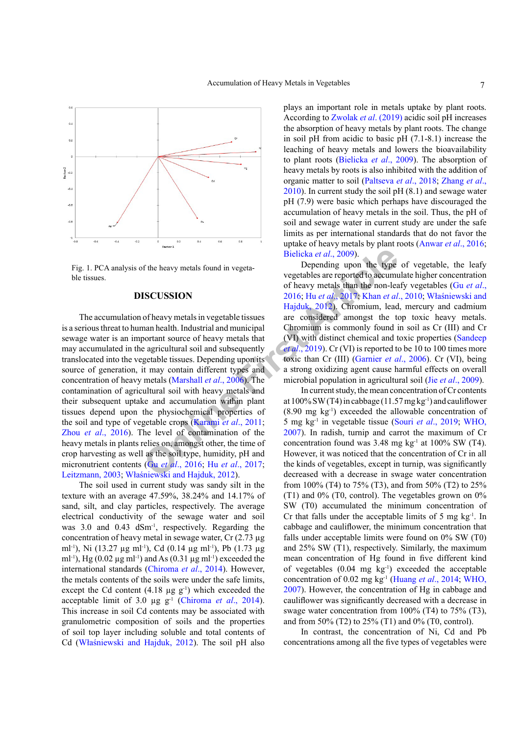

Fig. 1. PCA analysis of the heavy metals found in vegetable tissues.

#### **DISCUSSION**

**SECUSSION**<br> **SECUSSION**<br> **SECUSSION**<br> **SECUSSION**<br> **SECUSSION**<br> **SECUSSION**<br> **SECUSSION**<br> **SECUSSION**<br> **SECUSSION**<br> **DONLIFY ARTIGAL ARTIGAL ARTIGAL ARTIGAL ARTIGAL ARTIGAL ARTIGAL ARTIGAL ARTIGAL ARTIGAL ARTIGAL ARTIGAL** The accumulation of heavy metals in vegetable tissues is a serious threat to human health. Industrial and municipal sewage water is an important source of heavy metals that may accumulated in the agricultural soil and subsequently translocated into the vegetable tissues. Depending upon its source of generation, it may contain different types and concentration of heavy metals (Marshall *et al*., 2006). The contamination of agricultural soil with heavy metals and their subsequent uptake and accumulation within plant tissues depend upon the physiochemical properties of the soil and type of vegetable crops (Karami *et al*., 2011; Zhou *et al*., 2016). The level of contamination of the heavy metals in plants relies on, amongst other, the time of crop harvesting as well as the soil type, humidity, pH and micronutrient contents (Gu *et al*., 2016; Hu *et al*., 2017; Leitzmann, 2003; Właśniewski and Hajduk, 2012).

The soil used in current study was sandy silt in the texture with an average 47.59%, 38.24% and 14.17% of sand, silt, and clay particles, respectively. The average electrical conductivity of the sewage water and soil was 3.0 and 0.43 dSm<sup>-1</sup>, respectively. Regarding the concentration of heavy metal in sewage water, Cr (2.73 µg ml<sup>-1</sup>), Ni (13.27 µg ml<sup>-1</sup>), Cd (0.14 µg ml<sup>-1</sup>), Pb (1.73 µg ml<sup>-1</sup>), Hg (0.02  $\mu$ g ml<sup>-1</sup>) and As (0.31  $\mu$ g ml<sup>-1</sup>) exceeded the international standards (Chiroma *et al*., 2014). However, the metals contents of the soils were under the safe limits, except the Cd content  $(4.18 \mu g g^{-1})$  which exceeded the acceptable limit of 3.0 µg g<sup>-1</sup> (Chiroma *et al.*, 2014). This increase in soil Cd contents may be associated with granulometric composition of soils and the properties of soil top layer including soluble and total contents of Cd (Właśniewski and Hajduk, 2012). The soil pH also plays an important role in metals uptake by plant roots. According to Zwolak *et al*. (2019) acidic soil pH increases the absorption of heavy metals by plant roots. The change in soil pH from acidic to basic pH (7.1-8.1) increase the leaching of heavy metals and lowers the bioavailability to plant roots (Bielicka *et al*., 2009). The absorption of heavy metals by roots is also inhibited with the addition of organic matter to soil (Paltseva *et al*., 2018; Zhang *et al*., 2010). In current study the soil pH (8.1) and sewage water pH (7.9) were basic which perhaps have discouraged the accumulation of heavy metals in the soil. Thus, the pH of soil and sewage water in current study are under the safe limits as per international standards that do not favor the uptake of heavy metals by plant roots (Anwar *et al*., 2016; Bielicka *et al*., 2009).

Depending upon the type of vegetable, the leafy vegetables are reported to accumulate higher concentration of heavy metals than the non-leafy vegetables (Gu *et al*., 2016; Hu *et al*., 2017; Khan *et al*., 2010; Właśniewski and Hajduk, 2012). Chromium, lead, mercury and cadmium are considered amongst the top toxic heavy metals. Chromium is commonly found in soil as Cr (III) and Cr (VI) with distinct chemical and toxic properties (Sandeep *et al.*, 2019). Cr (VI) is reported to be 10 to 100 times more toxic than Cr (III) (Garnier *et al*., 2006). Cr (VI), being a strong oxidizing agent cause harmful effects on overall microbial population in agricultural soil (Jie *et al*., 2009).

In current study, the mean concentration of Cr contents at  $100\%$  SW (T4) in cabbage (11.57 mg kg<sup>-1</sup>) and cauliflower  $(8.90 \text{ mg kg}^{-1})$  exceeded the allowable concentration of 5 mg kg-1 in vegetable tissue (Souri *et al*., 2019; WHO, 2007). In radish, turnip and carrot the maximum of Cr concentration found was  $3.48 \text{ mg kg}^{-1}$  at  $100\%$  SW (T4). However, it was noticed that the concentration of Cr in all the kinds of vegetables, except in turnip, was significantly decreased with a decrease in swage water concentration from 100% (T4) to 75% (T3), and from 50% (T2) to 25% (T1) and  $0\%$  (T0, control). The vegetables grown on  $0\%$ SW (T0) accumulated the minimum concentration of Cr that falls under the acceptable limits of 5 mg  $kg<sup>-1</sup>$ . In cabbage and cauliflower, the minimum concentration that falls under acceptable limits were found on 0% SW (T0) and 25% SW (T1), respectively. Similarly, the maximum mean concentration of Hg found in five different kind of vegetables  $(0.04 \text{ mg kg}^{-1})$  exceeded the acceptable concentration of 0.02 mg kg-1 (Huang *et al*., 2014; WHO, 2007). However, the concentration of Hg in cabbage and cauliflower was significantly decreased with a decrease in swage water concentration from 100% (T4) to 75% (T3), and from 50% (T2) to 25% (T1) and 0% (T0, control).

In contrast, the concentration of Ni, Cd and Pb concentrations among all the five types of vegetables were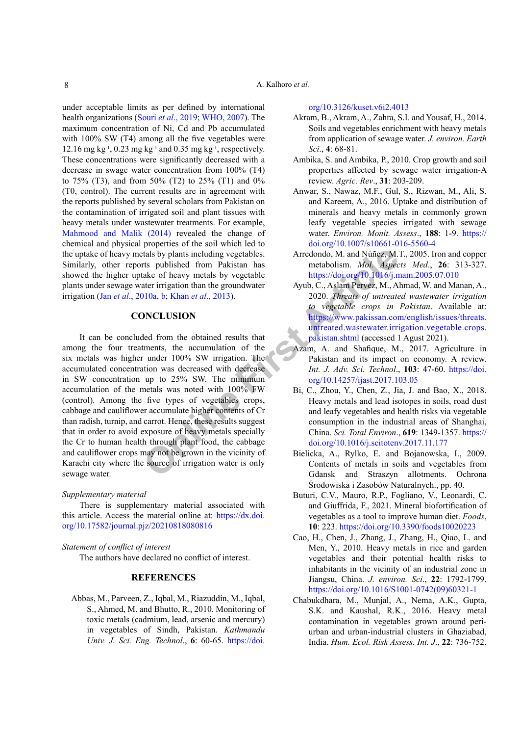## A. Kalhoro *et al.*

under acceptable limits as per defined by international health organizations (Souri *et al*., 2019; WHO, 2007). The maximum concentration of Ni, Cd and Pb accumulated with 100% SW (T4) among all the five vegetables were 12.16 mg kg<sup>-1</sup>, 0.23 mg kg<sup>-1</sup> and 0.35 mg kg<sup>-1</sup>, respectively. These concentrations were significantly decreased with a decrease in swage water concentration from 100% (T4) to 75% (T3), and from 50% (T2) to 25% (T1) and 0% (T0, control). The current results are in agreement with the reports published by several scholars from Pakistan on the contamination of irrigated soil and plant tissues with heavy metals under wastewater treatments. For example, Mahmood and Malik (2014) revealed the change of chemical and physical properties of the soil which led to the uptake of heavy metals by plants including vegetables. Similarly, other reports published from Pakistan has showed the higher uptake of heavy metals by vegetable plants under sewage water irrigation than the groundwater irrigation (Jan *et al*., 2010a, b; Khan *et al*., 2013).

## **CONCLUSION**

The state of heavy metals and Number and Number School (M. and Number and Number and Number and Number and Number and Number and Number and Number and Number and Number and Number and Number and Number and Number and Numbe It can be concluded from the obtained results that among the four treatments, the accumulation of the six metals was higher under 100% SW irrigation. The accumulated concentration was decreased with decrease in SW concentration up to 25% SW. The minimum accumulation of the metals was noted with 100% FW (control). Among the five types of vegetables crops, cabbage and cauliflower accumulate higher contents of Cr than radish, turnip, and carrot. Hence, these results suggest that in order to avoid exposure of heavy metals specially the Cr to human health through plant food, the cabbage and cauliflower crops may not be grown in the vicinity of Karachi city where the source of irrigation water is only sewage water.

### *Supplementary material*

There is supplementary material associated with this article. Access the material online at: [https://dx.doi.](https://dx.doi.org/10.17582/journal.pjz/20210818080816) [org/10.17582/journal.pjz/20210818080816](https://dx.doi.org/10.17582/journal.pjz/20210818080816)

### *Statement of conflict of interest*

The authors have declared no conflict of interest.

## **REFERENCES**

Abbas, M., Parveen, Z., Iqbal, M., Riazuddin, M., Iqbal, S., Ahmed, M. and Bhutto, R., 2010. Monitoring of toxic metals (cadmium, lead, arsenic and mercury) in vegetables of Sindh, Pakistan. *Kathmandu Univ. J. Sci. Eng. Technol*., **6**: 60-65. [https://doi.](https://doi.org/10.3126/kuset.v6i2.4013)

#### [org/10.3126/kuset.v6i2.4013](https://doi.org/10.3126/kuset.v6i2.4013)

- Akram, B., Akram, A., Zahra, S.I. and Yousaf, H., 2014. Soils and vegetables enrichment with heavy metals from application of sewage water. *J. environ. Earth Sci*., **4**: 68-81.
- Ambika, S. and Ambika, P., 2010. Crop growth and soil properties affected by sewage water irrigation-A review. *Agric. Rev*., **31**: 203-209.
- Anwar, S., Nawaz, M.F., Gul, S., Rizwan, M., Ali, S. and Kareem, A., 2016. Uptake and distribution of minerals and heavy metals in commonly grown leafy vegetable species irrigated with sewage water. *Environ. Monit. Assess*., **188**: 1-9. [https://](https://doi.org/10.1007/s10661-016-5560-4) [doi.org/10.1007/s10661-016-5560-4](https://doi.org/10.1007/s10661-016-5560-4)
- Arredondo, M. and Núñez, M.T., 2005. Iron and copper metabolism. *Mol. Aspects Med*., **26**: 313-327. <https://doi.org/10.1016/j.mam.2005.07.010>
- Ayub, C., Aslam Pervez, M., Ahmad, W. and Manan, A., 2020. *Threats of untreated wastewater irrigation to vegetable crops in Pakistan*. Available at: [https://www.pakissan.com/english/issues/threats.](https://www.pakissan.com/english/issues/threats.untreated.wastewater.irrigation.vegetable.crops.pakistan.shtml) [untreated.wastewater.irrigation.vegetable.crops.](https://www.pakissan.com/english/issues/threats.untreated.wastewater.irrigation.vegetable.crops.pakistan.shtml) pakistan.shtml (accessed 1 Agust 2021).
- Azam, A. and Shafique, M., 2017. Agriculture in Pakistan and its impact on economy. A review. *Int. J. Adv. Sci. Technol*., **103**: 47-60. [https://doi.](https://doi.org/10.14257/ijast.2017.103.05) org/10.14257/ijast.2017.103.05
- Bi, C., Zhou, Y., Chen, Z., Jia, J. and Bao, X., 2018. Heavy metals and lead isotopes in soils, road dust and leafy vegetables and health risks via vegetable consumption in the industrial areas of Shanghai, China. *Sci. Total Environ*., **619**: 1349-1357. [https://](https://doi.org/10.1016/j.scitotenv.2017.11.177) [doi.org/10.1016/j.scitotenv.2017.11.177](https://doi.org/10.1016/j.scitotenv.2017.11.177)
- Bielicka, A., Rylko, E. and Bojanowska, I., 2009. Contents of metals in soils and vegetables from Gdansk and Straszyn allotments. Ochrona Środowiska i Zasobów Naturalnych., pp. 40.
- Buturi, C.V., Mauro, R.P., Fogliano, V., Leonardi, C. and Giuffrida, F., 2021. Mineral biofortification of vegetables as a tool to improve human diet. *Foods*, **10**: 223. <https://doi.org/10.3390/foods10020223>
- Cao, H., Chen, J., Zhang, J., Zhang, H., Qiao, L. and Men, Y., 2010. Heavy metals in rice and garden vegetables and their potential health risks to inhabitants in the vicinity of an industrial zone in Jiangsu, China. *J. environ. Sci*., **22**: 1792-1799. [https://doi.org/10.1016/S1001-0742\(09\)60321-1](https://doi.org/10.1016/S1001-0742(09)60321-1)
- Chabukdhara, M., Munjal, A., Nema, A.K., Gupta, S.K. and Kaushal, R.K., 2016. Heavy metal contamination in vegetables grown around periurban and urban-industrial clusters in Ghaziabad, India. *Hum. Ecol. Risk Assess. Int. J*., **22**: 736-752.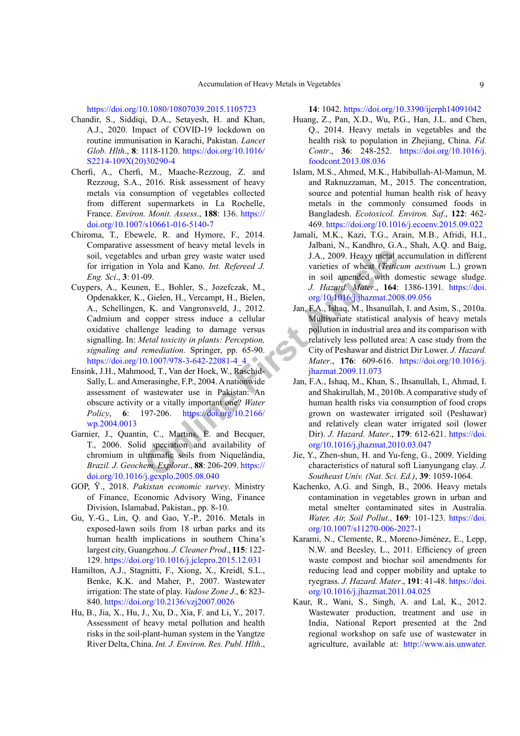<https://doi.org/10.1080/10807039.2015.1105723>

- Chandir, S., Siddiqi, D.A., Setayesh, H. and Khan, A.J., 2020. Impact of COVID-19 lockdown on routine immunisation in Karachi, Pakistan. *Lancet Glob. Hlth*., **8**: 1118-1120. [https://doi.org/10.1016/](https://doi.org/10.1016/S2214-109X(20)30290-4) [S2214-109X\(20\)30290-4](https://doi.org/10.1016/S2214-109X(20)30290-4)
- Cherfi, A., Cherfi, M., Maache-Rezzoug, Z. and Rezzoug, S.A., 2016. Risk assessment of heavy metals via consumption of vegetables collected from different supermarkets in La Rochelle, France. *Environ. Monit. Assess*., **188**: 136. [https://](https://doi.org/10.1007/s10661-016-5140-7) [doi.org/10.1007/s10661-016-5140-7](https://doi.org/10.1007/s10661-016-5140-7)
- Chiroma, T., Ebewele, R. and Hymore, F., 2014. Comparative assessment of heavy metal levels in soil, vegetables and urban grey waste water used for irrigation in Yola and Kano. *Int. Refereed J. Eng. Sci*., **3**: 01-09.
- **Onl[ine](https://doi.org/10.2166/wp.2004.0013) Controllary Scheme Article**<br> **Online Conduct Article** and the state is the two that the state is of wheat (*Fritic*) in soil and Kano. *Int. Refereed J.* varieties of wheat (*Fritic*) in soil and the manner of the Cuypers, A., Keunen, E., Bohler, S., Jozefczak, M., Opdenakker, K., Gielen, H., Vercampt, H., Bielen, A., Schellingen, K. and Vangronsveld, J., 2012. Cadmium and copper stress induce a cellular oxidative challenge leading to damage versus signalling. In: *Metal toxicity in plants: Perception, signaling and remediation.* Springer, pp. 65-90. [https://doi.org/10.1007/978-3-642-22081-4\\_4](https://doi.org/10.1007/978-3-642-22081-4_4)
- Ensink, J.H., Mahmood, T., Van der Hoek, W., Raschid-Sally, L. and Amerasinghe, F.P., 2004. A nationwide assessment of wastewater use in Pakistan: An obscure activity or a vitally important one? *Water Policy*, **6**: 197-206. https://doi.org/10.2166/ [wp.2004.0013](https://doi.org/10.2166/wp.2004.0013)
- Garnier, J., Quantin, C., Martins, E. and Becquer, T., 2006. Solid speciation and availability of chromium in ultramafic soils from Niquelândia, *Brazil. J. Geochem. Explorat*., **88**: 206-209. https:// [doi.org/10.1016/j.gexplo.2005.08.040](https://doi.org/10.1016/j.gexplo.2005.08.040)
- GOP, Ÿ., 2018. *Pakistan economic survey*. Ministry of Finance, Economic Advisory Wing, Finance Division, Islamabad, Pakistan., pp. 8-10.
- Gu, Y.-G., Lin, Q. and Gao, Y.-P., 2016. Metals in exposed-lawn soils from 18 urban parks and its human health implications in southern China's largest city, Guangzhou. *J. Cleaner Prod*., **115**: 122- 129. <https://doi.org/10.1016/j.jclepro.2015.12.031>
- Hamilton, A.J., Stagnitti, F., Xiong, X., Kreidl, S.L., Benke, K.K. and Maher, P., 2007. Wastewater irrigation: The state of play. *Vadose Zone J*., **6**: 823- 840. <https://doi.org/10.2136/vzj2007.0026>
- Hu, B., Jia, X., Hu, J., Xu, D., Xia, F. and Li, Y., 2017. Assessment of heavy metal pollution and health risks in the soil-plant-human system in the Yangtze River Delta, China. *Int. J. Environ. Res. Publ. Hlth*.,

**14**: 1042. <https://doi.org/10.3390/ijerph14091042>

- Huang, Z., Pan, X.D., Wu, P.G., Han, J.L. and Chen, Q., 2014. Heavy metals in vegetables and the health risk to population in Zhejiang, China. *Fd. Contr*., **36**: 248-252. [https://doi.org/10.1016/j.](https://doi.org/10.1016/j.foodcont.2013.08.036) [foodcont.2013.08.036](https://doi.org/10.1016/j.foodcont.2013.08.036)
- Islam, M.S., Ahmed, M.K., Habibullah-Al-Mamun, M. and Raknuzzaman, M., 2015. The concentration, source and potential human health risk of heavy metals in the commonly consumed foods in Bangladesh. *Ecotoxicol. Environ. Saf*., **122**: 462- 469.<https://doi.org/10.1016/j.ecoenv.2015.09.022>
- Jamali, M.K., Kazi, T.G., Arain, M.B., Afridi, H.I., Jalbani, N., Kandhro, G.A., Shah, A.Q. and Baig, J.A., 2009. Heavy metal accumulation in different varieties of wheat (*Triticum aestivum* L.) grown in soil amended with domestic sewage sludge. *J. Hazard. Mater*., **164**: 1386-1391. [https://doi.](https://doi.org/10.1016/j.jhazmat.2008.09.056) [org/10.1016/j.jhazmat.2008.09.056](https://doi.org/10.1016/j.jhazmat.2008.09.056)
- Jan, F.A., Ishaq, M., Ihsanullah, I. and Asim, S., 2010a. Multivariate statistical analysis of heavy metals pollution in industrial area and its comparison with relatively less polluted area: A case study from the City of Peshawar and district Dir Lower. *J. Hazard. Mater*., **176**: 609-616. [https://doi.org/10.1016/j.](https://doi.org/10.1016/j.jhazmat.2009.11.073) jhazmat.2009.11.073
- Jan, F.A., Ishaq, M., Khan, S., Ihsanullah, I., Ahmad, I. and Shakirullah, M., 2010b. A comparative study of human health risks via consumption of food crops grown on wastewater irrigated soil (Peshawar) and relatively clean water irrigated soil (lower Dir). *J. Hazard. Mater*., **179**: 612-621. [https://doi.](https://doi.org/10.1016/j.jhazmat.2010.03.047) [org/10.1016/j.jhazmat.2010.03.047](https://doi.org/10.1016/j.jhazmat.2010.03.047)
- Jie, Y., Zhen-shun, H. and Yu-feng, G., 2009. Yielding characteristics of natural soft Lianyungang clay. *J. Southeast Univ. (Nat. Sci. Ed.)*, **39**: 1059-1064.
- Kachenko, A.G. and Singh, B., 2006. Heavy metals contamination in vegetables grown in urban and metal smelter contaminated sites in Australia. *Water, Air, Soil Pollut*., **169**: 101-123. [https://doi.](https://doi.org/10.1007/s11270-006-2027-1) [org/10.1007/s11270-006-2027-1](https://doi.org/10.1007/s11270-006-2027-1)
- Karami, N., Clemente, R., Moreno-Jiménez, E., Lepp, N.W. and Beesley, L., 2011. Efficiency of green waste compost and biochar soil amendments for reducing lead and copper mobility and uptake to ryegrass. *J. Hazard. Mater*., **191**: 41-48. [https://doi.](https://doi.org/10.1016/j.jhazmat.2011.04.025) [org/10.1016/j.jhazmat.2011.04.025](https://doi.org/10.1016/j.jhazmat.2011.04.025)
- Kaur, R., Wani, S., Singh, A. and Lal, K., 2012. Wastewater production, treatment and use in India, National Report presented at the 2nd regional workshop on safe use of wastewater in agriculture, available at: [http://www.ais.unwater.](http://www.ais.unwater.org/ais/pluginfile.php/356/mod_page/content/111/CountryReport_India.pdf)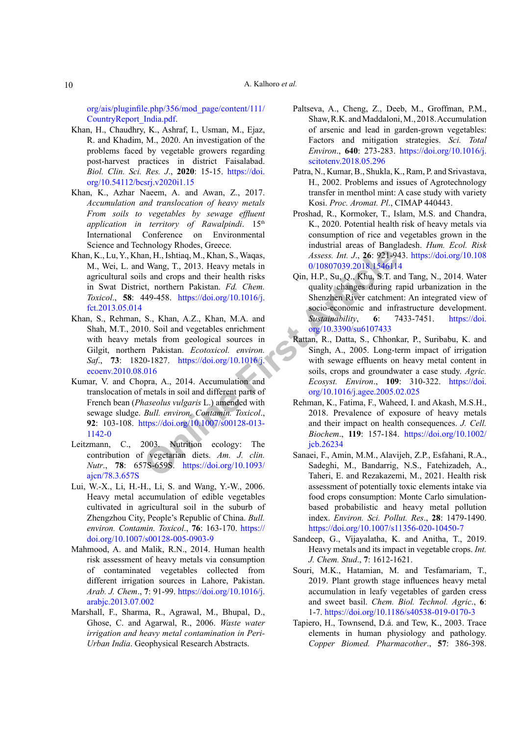[org/ais/pluginfile.php/356/mod\\_page/content](http://www.ais.unwater.org/ais/pluginfile.php/356/mod_page/content/111/CountryReport_India.pdf)/111/ [CountryReport\\_India.pdf.](http://www.ais.unwater.org/ais/pluginfile.php/356/mod_page/content/111/CountryReport_India.pdf)

- Khan, H., Chaudhry, K., Ashraf, I., Usman, M., Ejaz, R. and Khadim, M., 2020. An investigation of the problems faced by vegetable growers regarding post-harvest practices in district Faisalabad. *Biol. Clin. Sci. Res. J*., **2020**: 15-15. [https://doi.](https://doi.org/10.54112/bcsrj.v2020i1.15) [org/10.54112/bcsrj.v2020i1.15](https://doi.org/10.54112/bcsrj.v2020i1.15)
- Khan, K., Azhar Naeem, A. and Awan, Z., 2017. *Accumulation and translocation of heavy metals From soils to vegetables by sewage effluent application in territory of Rawalpindi*. 15th International Conference on Environmental Science and Technology Rhodes, Greece.
- Khan, K., Lu, Y., Khan, H., Ishtiaq, M., Khan, S., Waqas, M., Wei, L. and Wang, T., 2013. Heavy metals in agricultural soils and crops and their health risks in Swat District, northern Pakistan. *Fd. Chem. Toxicol*., **58**: 449-458. https://doi.org/10.1016/j. [fct.2013.05.014](https://doi.org/10.1016/j.fct.2013.05.014)
- **Example 10.339** (**Al[t](https://doi.org/10.3390/su6107433)age**, **[A](https://doi.org/10.3390/su6107433)ltage**, **Altage**, **Altage, M., Khan, S., Waqas,**  $\frac{1}{2}$ <br> **Surface of the Bal[lin](https://doi.org/10.1007/s00128-013-1142-0)ian Calling Controller (<b>Altagelision**) and their health risks (**On**, **H.P.**, Su, Q., **Khu, S.T.** and are part Khan, S., Rehman, S., Khan, A.Z., Khan, M.A. and Shah, M.T., 2010. Soil and vegetables enrichment with heavy metals from geological sources in Gilgit, northern Pakistan. *Ecotoxicol. environ. Saf*., **73**: 1820-1827. https://doi.org/10.1016/j. [ecoenv.2010.08.016](https://doi.org/10.1016/j.ecoenv.2010.08.016)
- Kumar, V. and Chopra, A., 2014. Accumulation and translocation of metals in soil and different parts of French bean (*Phaseolus vulgaris* L.) amended with sewage sludge. *Bull. environ. Contamin. Toxicol*., **92**: 103-108. https://doi.org/10.1007/s00128-013- [1142-0](https://doi.org/10.1007/s00128-013-1142-0)
- Leitzmann, C., 2003. Nutrition ecology: The contribution of vegetarian diets. *Am. J. clin. Nutr*., **78**: 657S-659S. https://doi.org/10.1093/ [ajcn/78.3.657S](https://doi.org/10.1093/ajcn/78.3.657S)
- Lui, W.-X., Li, H.-H., Li, S. and Wang, Y.-W., 2006. Heavy metal accumulation of edible vegetables cultivated in agricultural soil in the suburb of Zhengzhou City, People's Republic of China. *Bull. environ. Contamin. Toxicol*., **76**: 163-170. [https://](https://doi.org/10.1007/s00128-005-0903-9) [doi.org/10.1007/s00128-005-0903-9](https://doi.org/10.1007/s00128-005-0903-9)
- Mahmood, A. and Malik, R.N., 2014. Human health risk assessment of heavy metals via consumption of contaminated vegetables collected from different irrigation sources in Lahore, Pakistan. *Arab. J. Chem*., **7**: 91-99. [https://doi.org/10.1016/j.](https://doi.org/10.1016/j.arabjc.2013.07.002) [arabjc.2013.07.002](https://doi.org/10.1016/j.arabjc.2013.07.002)
- Marshall, F., Sharma, R., Agrawal, M., Bhupal, D., Ghose, C. and Agarwal, R., 2006. *Waste water irrigation and heavy metal contamination in Peri-Urban India*. Geophysical Research Abstracts.
- Paltseva, A., Cheng, Z., Deeb, M., Groffman, P.M., Shaw, R.K. and Maddaloni, M., 2018. Accumulation of arsenic and lead in garden-grown vegetables: Factors and mitigation strategies. *Sci. Total Environ*., **640**: 273-283. [https://doi.org/10.1016/j.](https://doi.org/10.1016/j.scitotenv.2018.05.296) [scitotenv.2018.05.296](https://doi.org/10.1016/j.scitotenv.2018.05.296)
- Patra, N., Kumar, B., Shukla, K., Ram, P. and Srivastava, H., 2002. Problems and issues of Agrotechnology transfer in menthol mint: A case study with variety Kosi. *Proc. Aromat. Pl*., CIMAP 440443.
- Proshad, R., Kormoker, T., Islam, M.S. and Chandra, K., 2020. Potential health risk of heavy metals via consumption of rice and vegetables grown in the industrial areas of Bangladesh. *Hum. Ecol. Risk Assess. Int. J*., **26**: 921-943. [https://doi.org/10.108](https://doi.org/10.1080/10807039.2018.1546114) 0/10807039.2018.1546114
- Qin, H.P., Su, Q., Khu, S.T. and Tang, N., 2014. Water quality changes during rapid urbanization in the Shenzhen River catchment: An integrated view of socio-economic and infrastructure development. *Sustainability*, **6**: 7433-7451. [https://doi.](https://doi.org/10.3390/su6107433) org/10.3390/su6107433
- Rattan, R., Datta, S., Chhonkar, P., Suribabu, K. and Singh, A., 2005. Long-term impact of irrigation with sewage effluents on heavy metal content in soils, crops and groundwater a case study. *Agric. Ecosyst. Environ*., **109**: 310-322. [https://doi.](https://doi.org/10.1016/j.agee.2005.02.025) org/10.1016/j.agee.2005.02.025
- Rehman, K., Fatima, F., Waheed, I. and Akash, M.S.H., 2018. Prevalence of exposure of heavy metals and their impact on health consequences. *J. Cell. Biochem*., **119**: 157-184. [https://doi.org/10.1002/](https://doi.org/10.1002/jcb.26234) jcb.26234
- Sanaei, F., Amin, M.M., Alavijeh, Z.P., Esfahani, R.A., Sadeghi, M., Bandarrig, N.S., Fatehizadeh, A., Taheri, E. and Rezakazemi, M., 2021. Health risk assessment of potentially toxic elements intake via food crops consumption: Monte Carlo simulationbased probabilistic and heavy metal pollution index. *Environ. Sci. Pollut. Res*., **28**: 1479-1490. <https://doi.org/10.1007/s11356-020-10450-7>
- Sandeep, G., Vijayalatha, K. and Anitha, T., 2019. Heavy metals and its impact in vegetable crops. *Int. J. Chem. Stud*., **7**: 1612-1621.
- Souri, M.K., Hatamian, M. and Tesfamariam, T., 2019. Plant growth stage influences heavy metal accumulation in leafy vegetables of garden cress and sweet basil. *Chem. Biol. Technol. Agric*., **6**: 1-7. <https://doi.org/10.1186/s40538-019-0170-3>
- Tapiero, H., Townsend, D.á. and Tew, K., 2003. Trace elements in human physiology and pathology. *Copper Biomed. Pharmacother*., **57**: 386-398.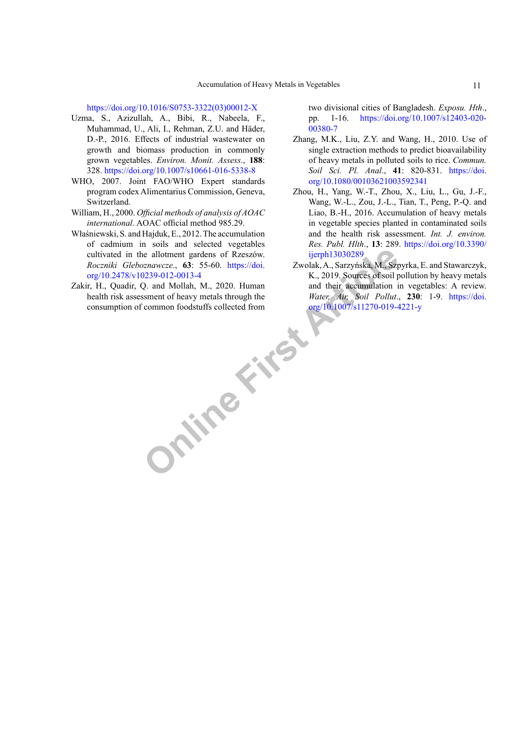[https://doi.org/10.1016/S0753-3322\(03\)00012-X](https://doi.org/10.1016/S0753-3322(03)00012-X)

- Uzma, S., Azizullah, A., Bibi, R., Nabeela, F., Muhammad, U., Ali, I., Rehman, Z.U. and Häder, D.-P., 2016. Effects of industrial wastewater on growth and biomass production in commonly grown vegetables. *Environ. Monit. Assess*., **188**: 328. <https://doi.org/10.1007/s10661-016-5338-8>
- WHO, 2007. Joint FAO/WHO Expert standards program codex Alimentarius Commission, Geneva, Switzerland.
- William, H., 2000. *Official methods of analysis of AOAC international*. AOAC official method 985.29.
- Właśniewski, S. and Hajduk, E., 2012. The accumulation of cadmium in soils and selected vegetables cultivated in the allotment gardens of Rzeszów. *Roczniki Gleboznawcze*., **63**: 55-60. https://doi. [org/10.2478/v10239-012-0013-4](https://doi.org/10.2478/v10239-012-0013-4)
- **ONLINE FIRST PROPERTY** Zakir, H., Quadir, Q. and Mollah, M., 2020. Human health risk assessment of heavy metals through the consumption of common foodstuffs collected from

two divisional cities of Bangladesh. *Exposu. Hth*., pp. 1-16. [https://doi.org/10.1007/s12403-020-](https://doi.org/10.1007/s12403-020-00380-7) [00380-7](https://doi.org/10.1007/s12403-020-00380-7)

- Zhang, M.K., Liu, Z.Y. and Wang, H., 2010. Use of single extraction methods to predict bioavailability of heavy metals in polluted soils to rice. *Commun. Soil Sci. Pl. Anal*., **41**: 820-831. [https://doi.](https://doi.org/10.1080/00103621003592341) [org/10.1080/00103621003592341](https://doi.org/10.1080/00103621003592341)
- Zhou, H., Yang, W.-T., Zhou, X., Liu, L., Gu, J.-F., Wang, W.-L., Zou, J.-L., Tian, T., Peng, P.-Q. and Liao, B.-H., 2016. Accumulation of heavy metals in vegetable species planted in contaminated soils and the health risk assessment. *Int. J. environ. Res. Publ. Hlth*., **13**: 289. [https://doi.org/10.3390/](https://doi.org/10.3390/ijerph13030289) ijerph13030289
- Zwolak, A., Sarzyńska, M., Szpyrka, E. and Stawarczyk, K., 2019. Sources of soil pollution by heavy metals and their accumulation in vegetables: A review. *Water, Air, Soil Pollut*., **230**: 1-9. [https://doi.](https://doi.org/10.1007/s11270-019-4221-y) org/10.1007/s11270-019-4221-y